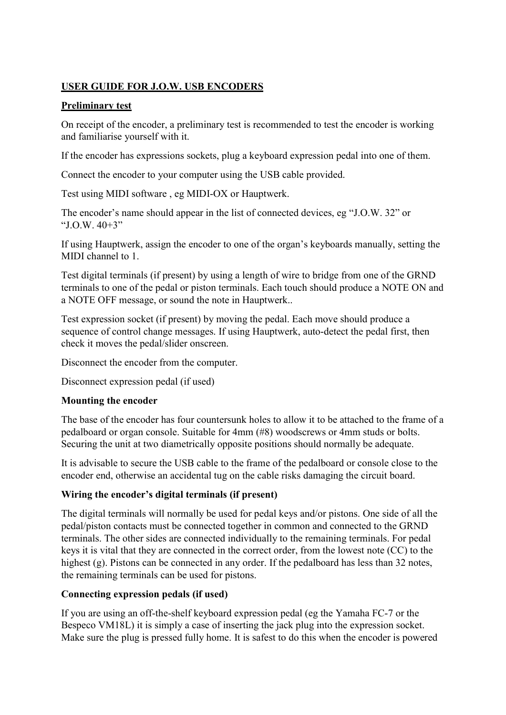# USER GUIDE FOR J.O.W. USB ENCODERS

### Preliminary test

On receipt of the encoder, a preliminary test is recommended to test the encoder is working and familiarise yourself with it.

If the encoder has expressions sockets, plug a keyboard expression pedal into one of them.

Connect the encoder to your computer using the USB cable provided.

Test using MIDI software , eg MIDI-OX or Hauptwerk.

The encoder's name should appear in the list of connected devices, eg "J.O.W. 32" or "J.O.W. 40+3"

If using Hauptwerk, assign the encoder to one of the organ's keyboards manually, setting the MIDI channel to 1.

Test digital terminals (if present) by using a length of wire to bridge from one of the GRND terminals to one of the pedal or piston terminals. Each touch should produce a NOTE ON and a NOTE OFF message, or sound the note in Hauptwerk..

Test expression socket (if present) by moving the pedal. Each move should produce a sequence of control change messages. If using Hauptwerk, auto-detect the pedal first, then check it moves the pedal/slider onscreen.

Disconnect the encoder from the computer.

Disconnect expression pedal (if used)

## Mounting the encoder

The base of the encoder has four countersunk holes to allow it to be attached to the frame of a pedalboard or organ console. Suitable for 4mm (#8) woodscrews or 4mm studs or bolts. Securing the unit at two diametrically opposite positions should normally be adequate.

It is advisable to secure the USB cable to the frame of the pedalboard or console close to the encoder end, otherwise an accidental tug on the cable risks damaging the circuit board.

## Wiring the encoder's digital terminals (if present)

The digital terminals will normally be used for pedal keys and/or pistons. One side of all the pedal/piston contacts must be connected together in common and connected to the GRND terminals. The other sides are connected individually to the remaining terminals. For pedal keys it is vital that they are connected in the correct order, from the lowest note (CC) to the highest (g). Pistons can be connected in any order. If the pedalboard has less than 32 notes, the remaining terminals can be used for pistons.

## Connecting expression pedals (if used)

If you are using an off-the-shelf keyboard expression pedal (eg the Yamaha FC-7 or the Bespeco VM18L) it is simply a case of inserting the jack plug into the expression socket. Make sure the plug is pressed fully home. It is safest to do this when the encoder is powered